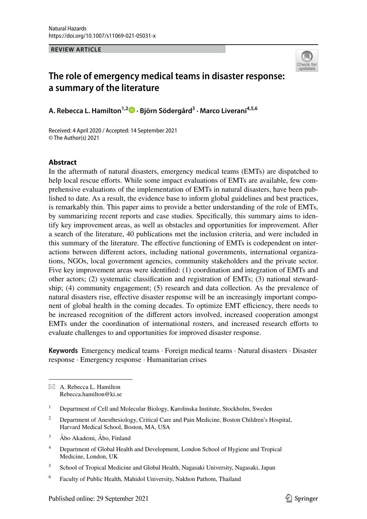**REVIEW ARTICLE**



# **The role of emergency medical teams in disaster response: a summary of the literature**

**A. Rebecca L. Hamilton1,2 · Björn Södergård3 · Marco Liverani4,5,6**

Received: 4 April 2020 / Accepted: 14 September 2021 © The Author(s) 2021

### **Abstract**

In the aftermath of natural disasters, emergency medical teams (EMTs) are dispatched to help local rescue efforts. While some impact evaluations of EMTs are available, few comprehensive evaluations of the implementation of EMTs in natural disasters, have been published to date. As a result, the evidence base to inform global guidelines and best practices, is remarkably thin. This paper aims to provide a better understanding of the role of EMTs, by summarizing recent reports and case studies. Specifically, this summary aims to identify key improvement areas, as well as obstacles and opportunities for improvement. After a search of the literature, 40 publications met the inclusion criteria, and were included in this summary of the literature. The effective functioning of EMTs is codependent on interactions between different actors, including national governments, international organizations, NGOs, local government agencies, community stakeholders and the private sector. Five key improvement areas were identified: (1) coordination and integration of EMTs and other actors; (2) systematic classification and registration of EMTs; (3) national stewardship; (4) community engagement; (5) research and data collection. As the prevalence of natural disasters rise, effective disaster response will be an increasingly important component of global health in the coming decades. To optimize EMT efficiency, there needs to be increased recognition of the different actors involved, increased cooperation amongst EMTs under the coordination of international rosters, and increased research efforts to evaluate challenges to and opportunities for improved disaster response.

**Keywords** Emergency medical teams · Foreign medical teams · Natural disasters · Disaster response · Emergency response · Humanitarian crises

 $\boxtimes$  A. Rebecca L. Hamilton Rebecca.hamilton@ki.se

<sup>1</sup> Department of Cell and Molecular Biology, Karolinska Institute, Stockholm, Sweden

- <sup>2</sup> Department of Anesthesiology, Critical Care and Pain Medicine, Boston Children's Hospital, Harvard Medical School, Boston, MA, USA
- <sup>3</sup> Åbo Akademi, Åbo, Finland
- <sup>4</sup> Department of Global Health and Development, London School of Hygiene and Tropical Medicine, London, UK

<sup>5</sup> School of Tropical Medicine and Global Health, Nagasaki University, Nagasaki, Japan

<sup>6</sup> Faculty of Public Health, Mahidol University, Nakhon Pathom, Thailand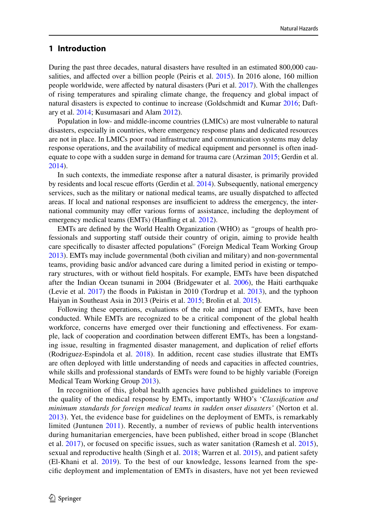### **1 Introduction**

During the past three decades, natural disasters have resulted in an estimated 800,000 causalities, and affected over a billion people (Peiris et al. 2015). In 2016 alone, 160 million people worldwide, were affected by natural disasters (Puri et al. 2017). With the challenges of rising temperatures and spiraling climate change, the frequency and global impact of natural disasters is expected to continue to increase (Goldschmidt and Kumar 2016; Daftary et al. 2014; Kusumasari and Alam 2012).

Population in low- and middle-income countries (LMICs) are most vulnerable to natural disasters, especially in countries, where emergency response plans and dedicated resources are not in place. In LMICs poor road infrastructure and communication systems may delay response operations, and the availability of medical equipment and personnel is often inadequate to cope with a sudden surge in demand for trauma care (Arziman 2015; Gerdin et al. 2014).

In such contexts, the immediate response after a natural disaster, is primarily provided by residents and local rescue efforts (Gerdin et al. 2014). Subsequently, national emergency services, such as the military or national medical teams, are usually dispatched to affected areas. If local and national responses are insufficient to address the emergency, the international community may offer various forms of assistance, including the deployment of emergency medical teams (EMTs) (Hanfling et al. 2012).

EMTs are defined by the World Health Organization (WHO) as *"*groups of health professionals and supporting staff outside their country of origin, aiming to provide health care specifically to disaster affected populations" (Foreign Medical Team Working Group 2013). EMTs may include governmental (both civilian and military) and non-governmental teams, providing basic and/or advanced care during a limited period in existing or temporary structures, with or without field hospitals. For example, EMTs have been dispatched after the Indian Ocean tsunami in 2004 (Bridgewater et al. 2006), the Haiti earthquake (Levie et al. 2017) the floods in Pakistan in 2010 (Tordrup et al. 2013), and the typhoon Haiyan in Southeast Asia in 2013 (Peiris et al. 2015; Brolin et al. 2015).

Following these operations, evaluations of the role and impact of EMTs, have been conducted. While EMTs are recognized to be a critical component of the global health workforce, concerns have emerged over their functioning and effectiveness. For example, lack of cooperation and coordination between different EMTs, has been a longstanding issue, resulting in fragmented disaster management, and duplication of relief efforts (Rodriguez-Espindola et al. 2018). In addition, recent case studies illustrate that EMTs are often deployed with little understanding of needs and capacities in affected countries, while skills and professional standards of EMTs were found to be highly variable (Foreign Medical Team Working Group 2013).

In recognition of this, global health agencies have published guidelines to improve the quality of the medical response by EMTs, importantly WHO's '*Classification and minimum standards for foreign medical teams in sudden onset disasters'* (Norton et al. 2013). Yet, the evidence base for guidelines on the deployment of EMTs, is remarkably limited (Juntunen 2011). Recently, a number of reviews of public health interventions during humanitarian emergencies, have been published, either broad in scope (Blanchet et al. 2017), or focused on specific issues, such as water sanitation (Ramesh et al. 2015), sexual and reproductive health (Singh et al. 2018; Warren et al. 2015), and patient safety (El-Khani et al. 2019). To the best of our knowledge, lessons learned from the specific deployment and implementation of EMTs in disasters, have not yet been reviewed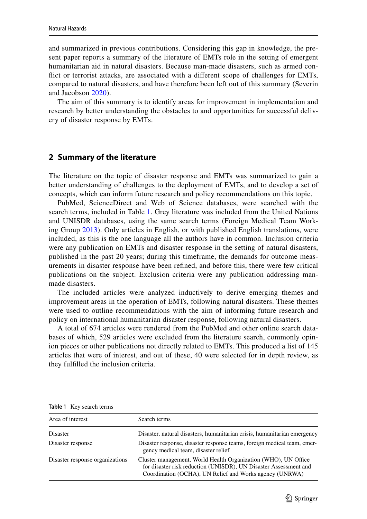and summarized in previous contributions. Considering this gap in knowledge, the present paper reports a summary of the literature of EMTs role in the setting of emergent humanitarian aid in natural disasters. Because man-made disasters, such as armed conflict or terrorist attacks, are associated with a different scope of challenges for EMTs, compared to natural disasters, and have therefore been left out of this summary (Severin and Jacobson 2020).

The aim of this summary is to identify areas for improvement in implementation and research by better understanding the obstacles to and opportunities for successful delivery of disaster response by EMTs.

### **2 Summary of the literature**

The literature on the topic of disaster response and EMTs was summarized to gain a better understanding of challenges to the deployment of EMTs, and to develop a set of concepts, which can inform future research and policy recommendations on this topic.

PubMed, ScienceDirect and Web of Science databases, were searched with the search terms, included in Table 1. Grey literature was included from the United Nations and UNISDR databases, using the same search terms (Foreign Medical Team Working Group 2013). Only articles in English, or with published English translations, were included, as this is the one language all the authors have in common. Inclusion criteria were any publication on EMTs and disaster response in the setting of natural disasters, published in the past 20 years; during this timeframe, the demands for outcome measurements in disaster response have been refined, and before this, there were few critical publications on the subject. Exclusion criteria were any publication addressing manmade disasters.

The included articles were analyzed inductively to derive emerging themes and improvement areas in the operation of EMTs, following natural disasters. These themes were used to outline recommendations with the aim of informing future research and policy on international humanitarian disaster response, following natural disasters.

A total of 674 articles were rendered from the PubMed and other online search databases of which, 529 articles were excluded from the literature search, commonly opinion pieces or other publications not directly related to EMTs. This produced a list of 145 articles that were of interest, and out of these, 40 were selected for in depth review, as they fulfilled the inclusion criteria.

| Area of interest                | Search terms                                                                                                                                                                                  |
|---------------------------------|-----------------------------------------------------------------------------------------------------------------------------------------------------------------------------------------------|
| Disaster                        | Disaster, natural disasters, humanitarian crisis, humanitarian emergency                                                                                                                      |
| Disaster response               | Disaster response, disaster response teams, foreign medical team, emer-<br>gency medical team, disaster relief                                                                                |
| Disaster response organizations | Cluster management, World Health Organization (WHO), UN Office<br>for disaster risk reduction (UNISDR), UN Disaster Assessment and<br>Coordination (OCHA), UN Relief and Works agency (UNRWA) |

**Table 1** Key search terms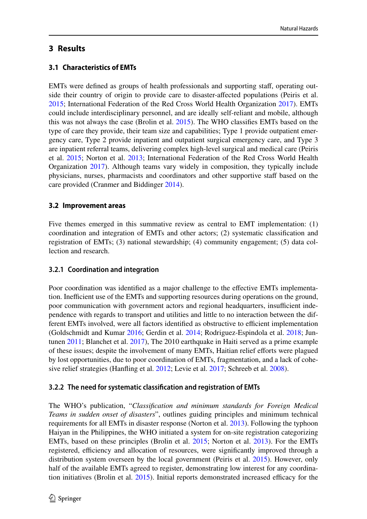**3.1 Characteristics of EMTs**

EMTs were defined as groups of health professionals and supporting staff, operating outside their country of origin to provide care to disaster-affected populations (Peiris et al. 2015; International Federation of the Red Cross World Health Organization 2017). EMTs could include interdisciplinary personnel, and are ideally self-reliant and mobile, although this was not always the case (Brolin et al. 2015). The WHO classifies EMTs based on the type of care they provide, their team size and capabilities; Type 1 provide outpatient emergency care, Type 2 provide inpatient and outpatient surgical emergency care, and Type 3 are inpatient referral teams, delivering complex high-level surgical and medical care (Peiris et al. 2015; Norton et al. 2013; International Federation of the Red Cross World Health Organization 2017). Although teams vary widely in composition, they typically include physicians, nurses, pharmacists and coordinators and other supportive staff based on the care provided (Cranmer and Biddinger 2014).

# **3.2 Improvement areas**

Five themes emerged in this summative review as central to EMT implementation: (1) coordination and integration of EMTs and other actors; (2) systematic classification and registration of EMTs; (3) national stewardship; (4) community engagement; (5) data collection and research.

# **3.2.1 Coordination and integration**

Poor coordination was identified as a major challenge to the effective EMTs implementation. Inefficient use of the EMTs and supporting resources during operations on the ground, poor communication with government actors and regional headquarters, insufficient independence with regards to transport and utilities and little to no interaction between the different EMTs involved, were all factors identified as obstructive to efficient implementation (Goldschmidt and Kumar 2016; Gerdin et al. 2014; Rodriguez-Espindola et al. 2018; Juntunen 2011; Blanchet et al. 2017), The 2010 earthquake in Haiti served as a prime example of these issues; despite the involvement of many EMTs, Haitian relief efforts were plagued by lost opportunities, due to poor coordination of EMTs, fragmentation, and a lack of cohesive relief strategies (Hanfling et al. 2012; Levie et al. 2017; Schreeb et al. 2008).

# **3.2.2 The need forsystematic classification and registration of EMTs**

The WHO's publication, "*Classification and minimum standards for Foreign Medical Teams in sudden onset of disasters*", outlines guiding principles and minimum technical requirements for all EMTs in disaster response (Norton et al. 2013). Following the typhoon Haiyan in the Philippines, the WHO initiated a system for on-site registration categorizing EMTs, based on these principles (Brolin et al. 2015; Norton et al. 2013). For the EMTs registered, efficiency and allocation of resources, were significantly improved through a distribution system overseen by the local government (Peiris et al. 2015). However, only half of the available EMTs agreed to register, demonstrating low interest for any coordination initiatives (Brolin et al. 2015). Initial reports demonstrated increased efficacy for the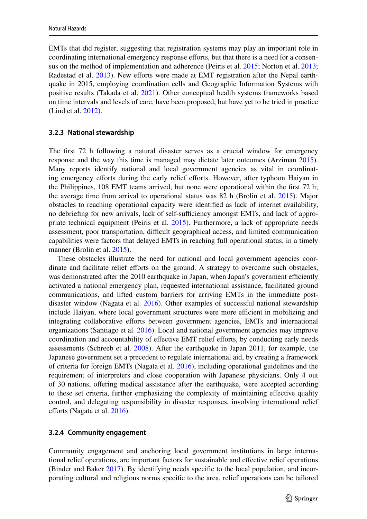EMTs that did register, suggesting that registration systems may play an important role in coordinating international emergency response efforts, but that there is a need for a consensus on the method of implementation and adherence (Peiris et al. 2015; Norton et al. 2013; Radestad et al. 2013). New efforts were made at EMT registration after the Nepal earthquake in 2015, employing coordination cells and Geographic Information Systems with positive results (Takada et al. 2021). Other conceptual health systems frameworks based on time intervals and levels of care, have been proposed, but have yet to be tried in practice (Lind et al. 2012).

#### **3.2.3 National stewardship**

The first 72 h following a natural disaster serves as a crucial window for emergency response and the way this time is managed may dictate later outcomes (Arziman 2015). Many reports identify national and local government agencies as vital in coordinating emergency efforts during the early relief efforts. However, after typhoon Haiyan in the Philippines, 108 EMT teams arrived, but none were operational within the first 72 h; the average time from arrival to operational status was 82 h (Brolin et al. 2015). Major obstacles to reaching operational capacity were identified as lack of internet availability, no debriefing for new arrivals, lack of self-sufficiency amongst EMTs, and lack of appropriate technical equipment (Peiris et al. 2015). Furthermore, a lack of appropriate needs assessment, poor transportation, difficult geographical access, and limited communication capabilities were factors that delayed EMTs in reaching full operational status, in a timely manner (Brolin et al. 2015).

These obstacles illustrate the need for national and local government agencies coordinate and facilitate relief efforts on the ground. A strategy to overcome such obstacles, was demonstrated after the 2010 earthquake in Japan, when Japan's government efficiently activated a national emergency plan, requested international assistance, facilitated ground communications, and lifted custom barriers for arriving EMTs in the immediate postdisaster window (Nagata et al.  $2016$ ). Other examples of successful national stewardship include Haiyan, where local government structures were more efficient in mobilizing and integrating collaborative efforts between government agencies, EMTs and international organizations (Santiago et al. 2016). Local and national government agencies may improve coordination and accountability of effective EMT relief efforts, by conducting early needs assessments (Schreeb et al. 2008). After the earthquake in Japan 2011, for example, the Japanese government set a precedent to regulate international aid, by creating a framework of criteria for foreign EMTs (Nagata et al. 2016), including operational guidelines and the requirement of interpreters and close cooperation with Japanese physicians. Only 4 out of 30 nations, offering medical assistance after the earthquake, were accepted according to these set criteria, further emphasizing the complexity of maintaining effective quality control, and delegating responsibility in disaster responses, involving international relief efforts (Nagata et al. 2016).

#### **3.2.4 Community engagement**

Community engagement and anchoring local government institutions in large international relief operations, are important factors for sustainable and effective relief operations (Binder and Baker 2017). By identifying needs specific to the local population, and incorporating cultural and religious norms specific to the area, relief operations can be tailored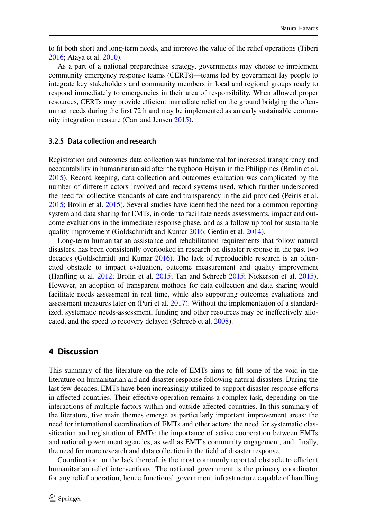to fit both short and long-term needs, and improve the value of the relief operations (Tiberi 2016; Ataya et al. 2010).

As a part of a national preparedness strategy, governments may choose to implement community emergency response teams (CERTs)—teams led by government lay people to integrate key stakeholders and community members in local and regional groups ready to respond immediately to emergencies in their area of responsibility. When allowed proper resources, CERTs may provide efficient immediate relief on the ground bridging the oftenunmet needs during the first 72 h and may be implemented as an early sustainable community integration measure (Carr and Jensen 2015).

#### **3.2.5 Data collection and research**

Registration and outcomes data collection was fundamental for increased transparency and accountability in humanitarian aid after the typhoon Haiyan in the Philippines (Brolin et al. 2015). Record keeping, data collection and outcomes evaluation was complicated by the number of different actors involved and record systems used, which further underscored the need for collective standards of care and transparency in the aid provided (Peiris et al. 2015; Brolin et al. 2015). Several studies have identified the need for a common reporting system and data sharing for EMTs, in order to facilitate needs assessments, impact and outcome evaluations in the immediate response phase, and as a follow up tool for sustainable quality improvement (Goldschmidt and Kumar 2016; Gerdin et al. 2014).

Long-term humanitarian assistance and rehabilitation requirements that follow natural disasters, has been consistently overlooked in research on disaster response in the past two decades (Goldschmidt and Kumar 2016). The lack of reproducible research is an oftencited obstacle to impact evaluation, outcome measurement and quality improvement (Hanfling et al. 2012; Brolin et al. 2015; Tan and Schreeb 2015; Nickerson et al. 2015). However, an adoption of transparent methods for data collection and data sharing would facilitate needs assessment in real time, while also supporting outcomes evaluations and assessment measures later on (Puri et al. 2017). Without the implementation of a standardized, systematic needs-assessment, funding and other resources may be ineffectively allocated, and the speed to recovery delayed (Schreeb et al. 2008).

## **4 Discussion**

This summary of the literature on the role of EMTs aims to fill some of the void in the literature on humanitarian aid and disaster response following natural disasters. During the last few decades, EMTs have been increasingly utilized to support disaster response efforts in affected countries. Their effective operation remains a complex task, depending on the interactions of multiple factors within and outside affected countries. In this summary of the literature, five main themes emerge as particularly important improvement areas: the need for international coordination of EMTs and other actors; the need for systematic classification and registration of EMTs; the importance of active cooperation between EMTs and national government agencies, as well as EMT's community engagement, and, finally, the need for more research and data collection in the field of disaster response.

Coordination, or the lack thereof, is the most commonly reported obstacle to efficient humanitarian relief interventions. The national government is the primary coordinator for any relief operation, hence functional government infrastructure capable of handling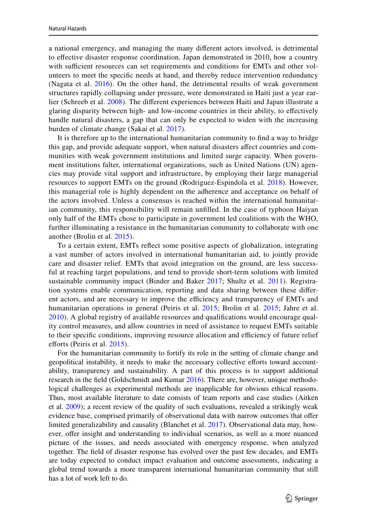a national emergency, and managing the many different actors involved, is detrimental to effective disaster response coordination. Japan demonstrated in 2010, how a country with sufficient resources can set requirements and conditions for EMTs and other volunteers to meet the specific needs at hand, and thereby reduce intervention redundancy (Nagata et al. 2016). On the other hand, the detrimental results of weak government structures rapidly collapsing under pressure, were demonstrated in Haiti just a year earlier (Schreeb et al. 2008). The different experiences between Haiti and Japan illustrate a glaring disparity between high- and low-income countries in their ability, to effectively handle natural disasters, a gap that can only be expected to widen with the increasing burden of climate change (Sakai et al. 2017).

It is therefore up to the international humanitarian community to find a way to bridge this gap, and provide adequate support, when natural disasters affect countries and communities with weak government institutions and limited surge capacity. When government institutions falter, international organizations, such as United Nations (UN) agencies may provide vital support and infrastructure, by employing their large managerial resources to support EMTs on the ground (Rodriguez-Espindola et al. 2018). However, this managerial role is highly dependent on the adherence and acceptance on behalf of the actors involved. Unless a consensus is reached within the international humanitarian community, this responsibility will remain unfilled. In the case of typhoon Haiyan only half of the EMTs chose to participate in government led coalitions with the WHO, further illuminating a resistance in the humanitarian community to collaborate with one another (Brolin et al. 2015).

To a certain extent, EMTs reflect some positive aspects of globalization, integrating a vast number of actors involved in international humanitarian aid, to jointly provide care and disaster relief. EMTs that avoid integration on the ground, are less successful at reaching target populations, and tend to provide short-term solutions with limited sustainable community impact (Binder and Baker 2017; Shultz et al. 2011). Registration systems enable communication, reporting and data sharing between these different actors, and are necessary to improve the efficiency and transparency of EMTs and humanitarian operations in general (Peiris et al. 2015; Brolin et al. 2015; Jahre et al. 2010). A global registry of available resources and qualifications would encourage quality control measures, and allow countries in need of assistance to request EMTs suitable to their specific conditions, improving resource allocation and efficiency of future relief efforts (Peiris et al. 2015).

For the humanitarian community to fortify its role in the setting of climate change and geopolitical instability, it needs to make the necessary collective efforts toward accountability, transparency and sustainability. A part of this process is to support additional research in the field (Goldschmidt and Kumar 2016). There are, however, unique methodological challenges as experimental methods are inapplicable for obvious ethical reasons. Thus, most available literature to date consists of team reports and case studies (Aitken et al. 2009); a recent review of the quality of such evaluations, revealed a strikingly weak evidence base, comprised primarily of observational data with narrow outcomes that offer limited generalizability and causality (Blanchet et al. 2017). Observational data may, however, offer insight and understanding to individual scenarios, as well as a more nuanced picture of the issues, and needs associated with emergency response, when analyzed together. The field of disaster response has evolved over the past few decades, and EMTs are today expected to conduct impact evaluation and outcome assessments, indicating a global trend towards a more transparent international humanitarian community that still has a lot of work left to do.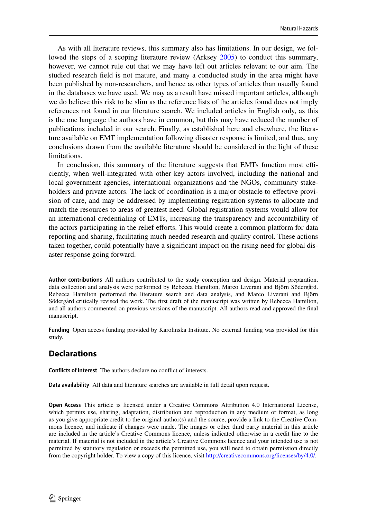As with all literature reviews, this summary also has limitations. In our design, we followed the steps of a scoping literature review (Arksey 2005) to conduct this summary, however, we cannot rule out that we may have left out articles relevant to our aim. The studied research field is not mature, and many a conducted study in the area might have been published by non-researchers, and hence as other types of articles than usually found in the databases we have used. We may as a result have missed important articles, although we do believe this risk to be slim as the reference lists of the articles found does not imply references not found in our literature search. We included articles in English only, as this is the one language the authors have in common, but this may have reduced the number of publications included in our search. Finally, as established here and elsewhere, the literature available on EMT implementation following disaster response is limited, and thus, any conclusions drawn from the available literature should be considered in the light of these limitations.

In conclusion, this summary of the literature suggests that EMTs function most efficiently, when well-integrated with other key actors involved, including the national and local government agencies, international organizations and the NGOs, community stakeholders and private actors. The lack of coordination is a major obstacle to effective provision of care, and may be addressed by implementing registration systems to allocate and match the resources to areas of greatest need. Global registration systems would allow for an international credentialing of EMTs, increasing the transparency and accountability of the actors participating in the relief efforts. This would create a common platform for data reporting and sharing, facilitating much needed research and quality control. These actions taken together, could potentially have a significant impact on the rising need for global disaster response going forward.

**Author contributions** All authors contributed to the study conception and design. Material preparation, data collection and analysis were performed by Rebecca Hamilton, Marco Liverani and Björn Södergård. Rebecca Hamilton performed the literature search and data analysis, and Marco Liverani and Björn Södergård critically revised the work. The first draft of the manuscript was written by Rebecca Hamilton, and all authors commented on previous versions of the manuscript. All authors read and approved the final manuscript.

**Funding** Open access funding provided by Karolinska Institute. No external funding was provided for this study.

# **Declarations**

**Conflicts of interest** The authors declare no conflict of interests.

**Data availability** All data and literature searches are available in full detail upon request.

**Open Access** This article is licensed under a Creative Commons Attribution 4.0 International License, which permits use, sharing, adaptation, distribution and reproduction in any medium or format, as long as you give appropriate credit to the original author(s) and the source, provide a link to the Creative Commons licence, and indicate if changes were made. The images or other third party material in this article are included in the article's Creative Commons licence, unless indicated otherwise in a credit line to the material. If material is not included in the article's Creative Commons licence and your intended use is not permitted by statutory regulation or exceeds the permitted use, you will need to obtain permission directly from the copyright holder. To view a copy of this licence, visit http://creativecommons.org/licenses/by/4.0/.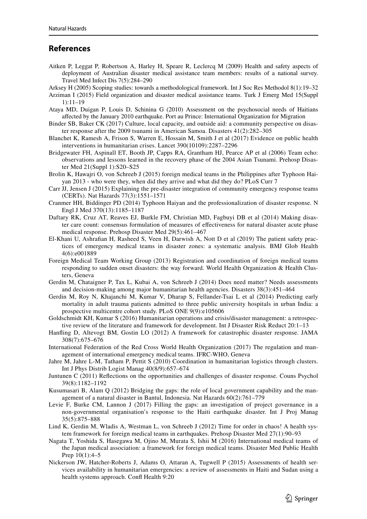### **References**

- Aitken P, Leggat P, Robertson A, Harley H, Speare R, Leclercq M (2009) Health and safety aspects of deployment of Australian disaster medical assistance team members: results of a national survey. Travel Med Infect Dis 7(5):284–290
- Arksey H (2005) Scoping studies: towards a methodological framework. Int J Soc Res Methodol 8(1):19–32
- Arziman I (2015) Field organization and disaster medical assistance teams. Turk J Emerg Med 15(Suppl 1):11–19
- Ataya MD, Duigan P, Louis D, Schinina G (2010) Assessment on the psychosocial needs of Haitians affected by the January 2010 earthquake. Port au Prince: International Organization for Migration
- Binder SB, Baker CK (2017) Culture, local capacity, and outside aid: a community perspective on disaster response after the 2009 tsunami in American Samoa. Disasters 41(2):282–305
- Blanchet K, Ramesh A, Frison S, Warren E, Hossain M, Smith J et al (2017) Evidence on public health interventions in humanitarian crises. Lancet 390(10109):2287–2296
- Bridgewater FH, Aspinall ET, Booth JP, Capps RA, Grantham HJ, Pearce AP et al (2006) Team echo: observations and lessons learned in the recovery phase of the 2004 Asian Tsunami. Prehosp Disaster Med 21(Suppl 1):S20–S25
- Brolin K, Hawajri O, von Schreeb J (2015) foreign medical teams in the Philippines after Typhoon Haiyan 2013 - who were they, when did they arrive and what did they do? PLoS Curr 7
- Carr JJ, Jensen J (2015) Explaining the pre-disaster integration of community emergency response teams (CERTs). Nat Hazards 77(3):1551–1571
- Cranmer HH, Biddinger PD (2014) Typhoon Haiyan and the professionalization of disaster response. N Engl J Med 370(13):1185–1187
- Daftary RK, Cruz AT, Reaves EJ, Burkle FM, Christian MD, Fagbuyi DB et al (2014) Making disaster care count: consensus formulation of measures of effectiveness for natural disaster acute phase medical response. Prehosp Disaster Med 29(5):461–467
- El-Khani U, Ashrafian H, Rasheed S, Veen H, Darwish A, Nott D et al (2019) The patient safety practices of emergency medical teams in disaster zones: a systematic analysis. BMJ Glob Health 4(6):e001889
- Foreign Medical Team Working Group (2013) Registration and coordination of foreign medical teams responding to sudden onset disasters: the way forward. World Health Organization & Health Clusters, Geneva
- Gerdin M, Chataigner P, Tax L, Kubai A, von Schreeb J (2014) Does need matter? Needs assessments and decision-making among major humanitarian health agencies. Disasters 38(3):451–464
- Gerdin M, Roy N, Khajanchi M, Kumar V, Dharap S, Fellander-Tsai L et al (2014) Predicting early mortality in adult trauma patients admitted to three public university hospitals in urban India: a prospective multicentre cohort study. PLoS ONE 9(9):e105606
- Goldschmidt KH, Kumar S (2016) Humanitarian operations and crisis/disaster management: a retrospective review of the literature and framework for development. Int J Disaster Risk Reduct 20:1–13
- Hanfling D, Altevogt BM, Gostin LO (2012) A framework for catastrophic disaster response. JAMA 308(7):675–676
- International Federation of the Red Cross World Health Organization (2017) The regulation and management of international emergency medical teams. IFRC-WHO, Geneva
- Jahre M, Jahre L-M, Tatham P, Pettit S (2010) Coordination in humanitarian logistics through clusters. Int J Phys Distrib Logist Manag 40(8/9):657–674
- Juntunen C (2011) Reflections on the opportunities and challenges of disaster response. Couns Psychol 39(8):1182–1192
- Kusumasari B, Alam Q (2012) Bridging the gaps: the role of local government capability and the management of a natural disaster in Bantul, Indonesia. Nat Hazards 60(2):761–779
- Levie F, Burke CM, Lannon J (2017) Filling the gaps: an investigation of project governance in a non-governmental organisation's response to the Haiti earthquake disaster. Int J Proj Manag 35(5):875–888
- Lind K, Gerdin M, Wladis A, Westman L, von Schreeb J (2012) Time for order in chaos! A health system framework for foreign medical teams in earthquakes. Prehosp Disaster Med 27(1):90–93
- Nagata T, Yoshida S, Hasegawa M, Ojino M, Murata S, Ishii M (2016) International medical teams of the Japan medical association: a framework for foreign medical teams. Disaster Med Public Health Prep 10(1):4–5
- Nickerson JW, Hatcher-Roberts J, Adams O, Attaran A, Tugwell P (2015) Assessments of health services availability in humanitarian emergencies: a review of assessments in Haiti and Sudan using a health systems approach. Confl Health 9:20